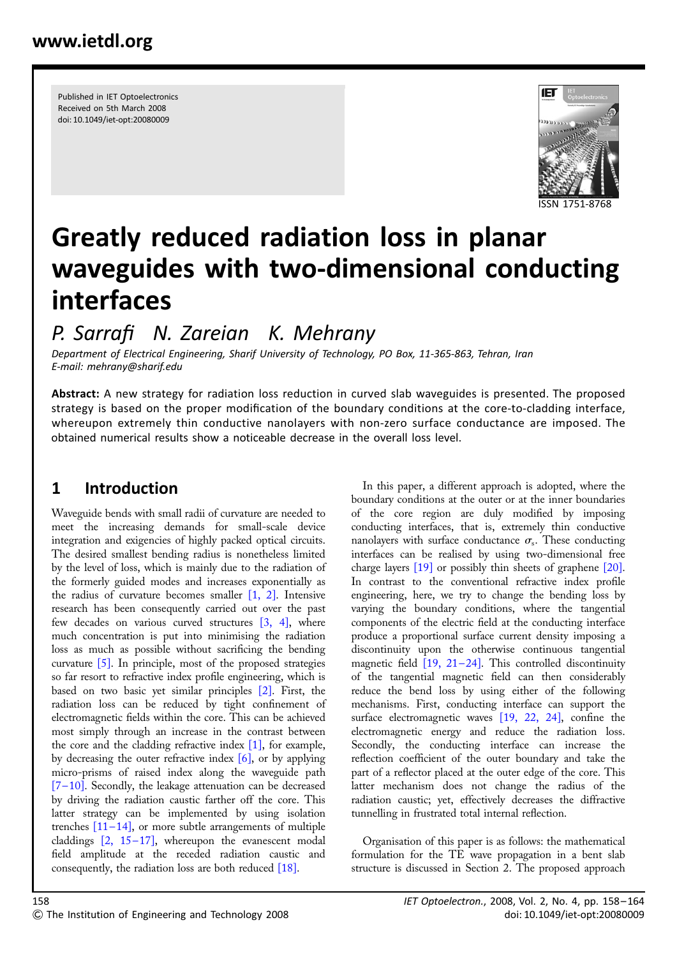Published in IET Optoelectronics Received on 5th March 2008 doi: 10.1049/iet-opt:20080009



# Greatly reduced radiation loss in planar waveguides with two-dimensional conducting interfaces

# P. Sarrafi N. Zareian K. Mehrany

Department of Electrical Engineering, Sharif University of Technology, PO Box, 11-365-863, Tehran, Iran E-mail: mehrany@sharif.edu

Abstract: A new strategy for radiation loss reduction in curved slab waveguides is presented. The proposed strategy is based on the proper modification of the boundary conditions at the core-to-cladding interface, whereupon extremely thin conductive nanolayers with non-zero surface conductance are imposed. The obtained numerical results show a noticeable decrease in the overall loss level.

# 1 Introduction

Waveguide bends with small radii of curvature are needed to meet the increasing demands for small-scale device integration and exigencies of highly packed optical circuits. The desired smallest bending radius is nonetheless limited by the level of loss, which is mainly due to the radiation of the formerly guided modes and increases exponentially as the radius of curvature becomes smaller [1, 2]. Intensive research has been consequently carried out over the past few decades on various curved structures [3, 4], where much concentration is put into minimising the radiation loss as much as possible without sacrificing the bending curvature [5]. In principle, most of the proposed strategies so far resort to refractive index profile engineering, which is based on two basic yet similar principles [2]. First, the radiation loss can be reduced by tight confinement of electromagnetic fields within the core. This can be achieved most simply through an increase in the contrast between the core and the cladding refractive index  $[1]$ , for example, by decreasing the outer refractive index  $[6]$ , or by applying micro-prisms of raised index along the waveguide path [7-10]. Secondly, the leakage attenuation can be decreased by driving the radiation caustic farther off the core. This latter strategy can be implemented by using isolation trenches  $[11-14]$ , or more subtle arrangements of multiple claddings  $[2, 15-17]$ , whereupon the evanescent modal field amplitude at the receded radiation caustic and consequently, the radiation loss are both reduced [18].

In this paper, a different approach is adopted, where the boundary conditions at the outer or at the inner boundaries of the core region are duly modified by imposing conducting interfaces, that is, extremely thin conductive nanolayers with surface conductance  $\sigma_s$ . These conducting interfaces can be realised by using two-dimensional free charge layers [19] or possibly thin sheets of graphene [20]. In contrast to the conventional refractive index profile engineering, here, we try to change the bending loss by varying the boundary conditions, where the tangential components of the electric field at the conducting interface produce a proportional surface current density imposing a discontinuity upon the otherwise continuous tangential magnetic field  $[19, 21-24]$ . This controlled discontinuity of the tangential magnetic field can then considerably reduce the bend loss by using either of the following mechanisms. First, conducting interface can support the surface electromagnetic waves [19, 22, 24], confine the electromagnetic energy and reduce the radiation loss. Secondly, the conducting interface can increase the reflection coefficient of the outer boundary and take the part of a reflector placed at the outer edge of the core. This latter mechanism does not change the radius of the radiation caustic; yet, effectively decreases the diffractive tunnelling in frustrated total internal reflection.

Organisation of this paper is as follows: the mathematical formulation for the TE wave propagation in a bent slab structure is discussed in Section 2. The proposed approach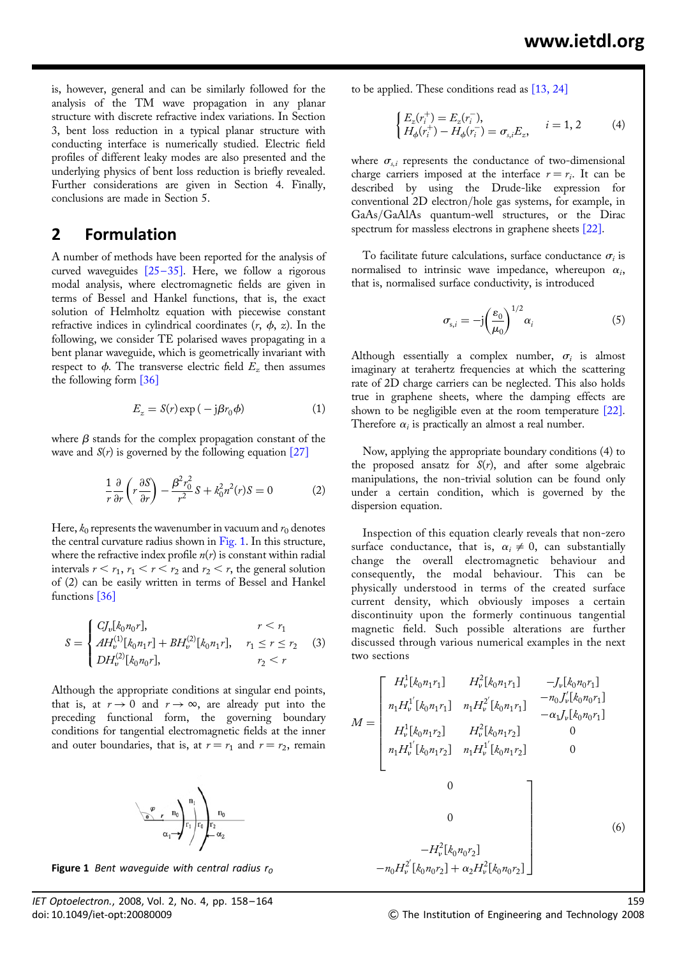is, however, general and can be similarly followed for the analysis of the TM wave propagation in any planar structure with discrete refractive index variations. In Section 3, bent loss reduction in a typical planar structure with conducting interface is numerically studied. Electric field profiles of different leaky modes are also presented and the underlying physics of bent loss reduction is briefly revealed. Further considerations are given in Section 4. Finally, conclusions are made in Section 5.

#### 2 Formulation

A number of methods have been reported for the analysis of curved waveguides  $[25-35]$ . Here, we follow a rigorous modal analysis, where electromagnetic fields are given in terms of Bessel and Hankel functions, that is, the exact solution of Helmholtz equation with piecewise constant refractive indices in cylindrical coordinates  $(r, \phi, z)$ . In the following, we consider TE polarised waves propagating in a bent planar waveguide, which is geometrically invariant with respect to  $\phi$ . The transverse electric field  $E_z$  then assumes the following form [36]

$$
E_z = S(r) \exp(-j\beta r_0 \phi)
$$
 (1)

where  $\beta$  stands for the complex propagation constant of the wave and  $S(r)$  is governed by the following equation [27]

$$
\frac{1}{r}\frac{\partial}{\partial r}\left(r\frac{\partial S}{\partial r}\right) - \frac{\beta^2 r_0^2}{r^2}S + k_0^2 n^2(r)S = 0\tag{2}
$$

Here,  $k_0$  represents the wavenumber in vacuum and  $r_0$  denotes the central curvature radius shown in  $Fig. 1$ . In this structure, where the refractive index profile  $n(r)$  is constant within radial intervals  $r < r_1$ ,  $r_1 < r < r_2$  and  $r_2 < r$ , the general solution of (2) can be easily written in terms of Bessel and Hankel functions [36]

$$
S = \begin{cases} C J_{\nu}[k_0 n_0 r], & r < r_1 \\ A H_{\nu}^{(1)}[k_0 n_1 r] + B H_{\nu}^{(2)}[k_0 n_1 r], & r_1 \le r \le r_2 \\ D H_{\nu}^{(2)}[k_0 n_0 r], & r_2 < r \end{cases}
$$
(3)

Although the appropriate conditions at singular end points, that is, at  $r \to 0$  and  $r \to \infty$ , are already put into the preceding functional form, the governing boundary conditions for tangential electromagnetic fields at the inner and outer boundaries, that is, at  $r = r_1$  and  $r = r_2$ , remain



Figure 1 Bent wavequide with central radius  $r_0$ 

to be applied. These conditions read as [13, 24]

$$
\begin{cases} E_z(r_i^+) = E_z(r_i^-), \\ H_{\phi}(r_i^+) - H_{\phi}(r_i^-) = \sigma_{s,i} E_z, \end{cases} \quad i = 1, 2 \tag{4}
$$

where  $\sigma_{s,i}$  represents the conductance of two-dimensional charge carriers imposed at the interface  $r = r_i$ . It can be described by using the Drude-like expression for conventional 2D electron/hole gas systems, for example, in GaAs/GaAlAs quantum-well structures, or the Dirac spectrum for massless electrons in graphene sheets [22].

To facilitate future calculations, surface conductance  $\sigma_i$  is normalised to intrinsic wave impedance, whereupon  $\alpha_i$ , that is, normalised surface conductivity, is introduced

$$
\sigma_{s,i} = -j \left(\frac{\varepsilon_0}{\mu_0}\right)^{1/2} \alpha_i \tag{5}
$$

Although essentially a complex number,  $\sigma_i$  is almost imaginary at terahertz frequencies at which the scattering rate of 2D charge carriers can be neglected. This also holds true in graphene sheets, where the damping effects are shown to be negligible even at the room temperature [22]. Therefore  $\alpha_i$  is practically an almost a real number.

Now, applying the appropriate boundary conditions (4) to the proposed ansatz for  $S(r)$ , and after some algebraic manipulations, the non-trivial solution can be found only under a certain condition, which is governed by the dispersion equation.

Inspection of this equation clearly reveals that non-zero surface conductance, that is,  $\alpha_i \neq 0$ , can substantially change the overall electromagnetic behaviour and consequently, the modal behaviour. This can be physically understood in terms of the created surface current density, which obviously imposes a certain discontinuity upon the formerly continuous tangential magnetic field. Such possible alterations are further discussed through various numerical examples in the next two sections

$$
M = \begin{bmatrix} H_v^1[k_0n_1r_1] & H_v^2[k_0n_1r_1] & -J_v[k_0n_0r_1] \\ n_1H_v^{1'}[k_0n_1r_1] & n_1H_v^{2'}[k_0n_1r_1] & -n_0J_v'[k_0n_0r_1] \\ H_v^1[k_0n_1r_2] & H_v^2[k_0n_1r_2] & 0 \\ n_1H_v^{1'}[k_0n_1r_2] & n_1H_v^{1'}[k_0n_1r_2] & 0 \\ 0 & 0 & 0 \\ 0 & -H_v^2[k_0n_0r_2] \\ -n_0H_v^{2'}[k_0n_0r_2] + \alpha_2H_v^2[k_0n_0r_2] \end{bmatrix}
$$
 (6)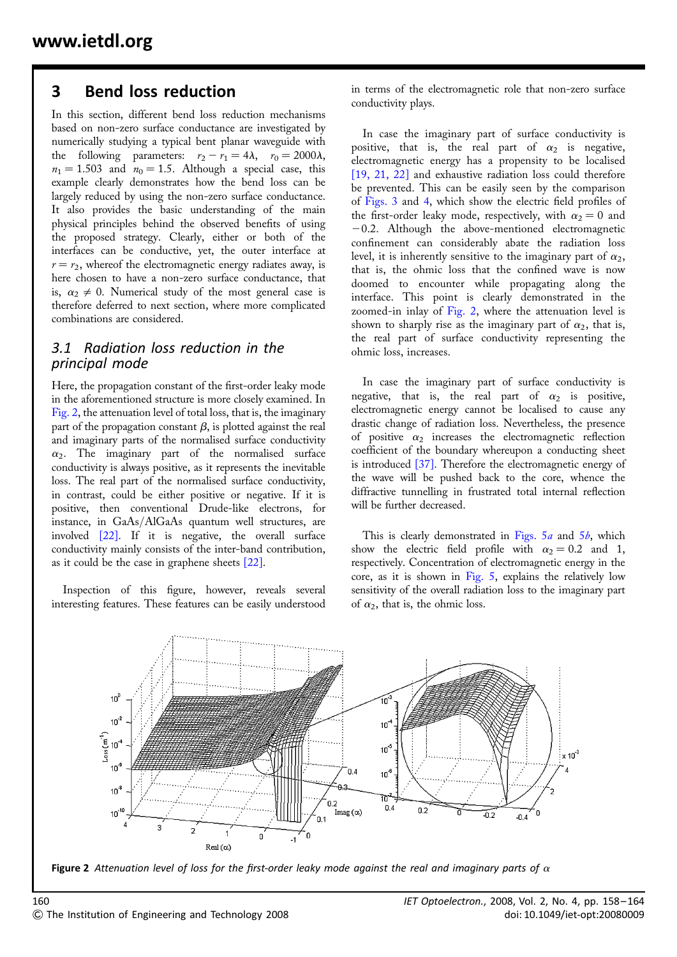### 3 Bend loss reduction

In this section, different bend loss reduction mechanisms based on non-zero surface conductance are investigated by numerically studying a typical bent planar waveguide with the following parameters:  $r_2 - r_1 = 4\lambda$ ,  $r_0 = 2000\lambda$ ,  $n_1 = 1.503$  and  $n_0 = 1.5$ . Although a special case, this example clearly demonstrates how the bend loss can be largely reduced by using the non-zero surface conductance. It also provides the basic understanding of the main physical principles behind the observed benefits of using the proposed strategy. Clearly, either or both of the interfaces can be conductive, yet, the outer interface at  $r = r<sub>2</sub>$ , whereof the electromagnetic energy radiates away, is here chosen to have a non-zero surface conductance, that is,  $\alpha_2 \neq 0$ . Numerical study of the most general case is therefore deferred to next section, where more complicated combinations are considered.

#### 3.1 Radiation loss reduction in the principal mode

Here, the propagation constant of the first-order leaky mode in the aforementioned structure is more closely examined. In Fig. 2, the attenuation level of total loss, that is, the imaginary part of the propagation constant  $\beta$ , is plotted against the real and imaginary parts of the normalised surface conductivity  $\alpha_2$ . The imaginary part of the normalised surface conductivity is always positive, as it represents the inevitable loss. The real part of the normalised surface conductivity, in contrast, could be either positive or negative. If it is positive, then conventional Drude-like electrons, for instance, in GaAs/AlGaAs quantum well structures, are involved [22]. If it is negative, the overall surface conductivity mainly consists of the inter-band contribution, as it could be the case in graphene sheets [22].

Inspection of this figure, however, reveals several interesting features. These features can be easily understood

in terms of the electromagnetic role that non-zero surface conductivity plays.

In case the imaginary part of surface conductivity is positive, that is, the real part of  $\alpha_2$  is negative, electromagnetic energy has a propensity to be localised [19, 21, 22] and exhaustive radiation loss could therefore be prevented. This can be easily seen by the comparison of Figs. 3 and 4, which show the electric field profiles of the first-order leaky mode, respectively, with  $\alpha_2 = 0$  and  $-0.2$ . Although the above-mentioned electromagnetic confinement can considerably abate the radiation loss level, it is inherently sensitive to the imaginary part of  $\alpha_2$ , that is, the ohmic loss that the confined wave is now doomed to encounter while propagating along the interface. This point is clearly demonstrated in the zoomed-in inlay of Fig. 2, where the attenuation level is shown to sharply rise as the imaginary part of  $\alpha_2$ , that is, the real part of surface conductivity representing the ohmic loss, increases.

In case the imaginary part of surface conductivity is negative, that is, the real part of  $\alpha_2$  is positive, electromagnetic energy cannot be localised to cause any drastic change of radiation loss. Nevertheless, the presence of positive  $\alpha_2$  increases the electromagnetic reflection coefficient of the boundary whereupon a conducting sheet is introduced [37]. Therefore the electromagnetic energy of the wave will be pushed back to the core, whence the diffractive tunnelling in frustrated total internal reflection will be further decreased.

This is clearly demonstrated in Figs.  $5a$  and  $5b$ , which show the electric field profile with  $\alpha_2 = 0.2$  and 1, respectively. Concentration of electromagnetic energy in the core, as it is shown in Fig. 5, explains the relatively low sensitivity of the overall radiation loss to the imaginary part of  $\alpha_2$ , that is, the ohmic loss.



Figure 2 Attenuation level of loss for the first-order leaky mode against the real and imaginary parts of  $\alpha$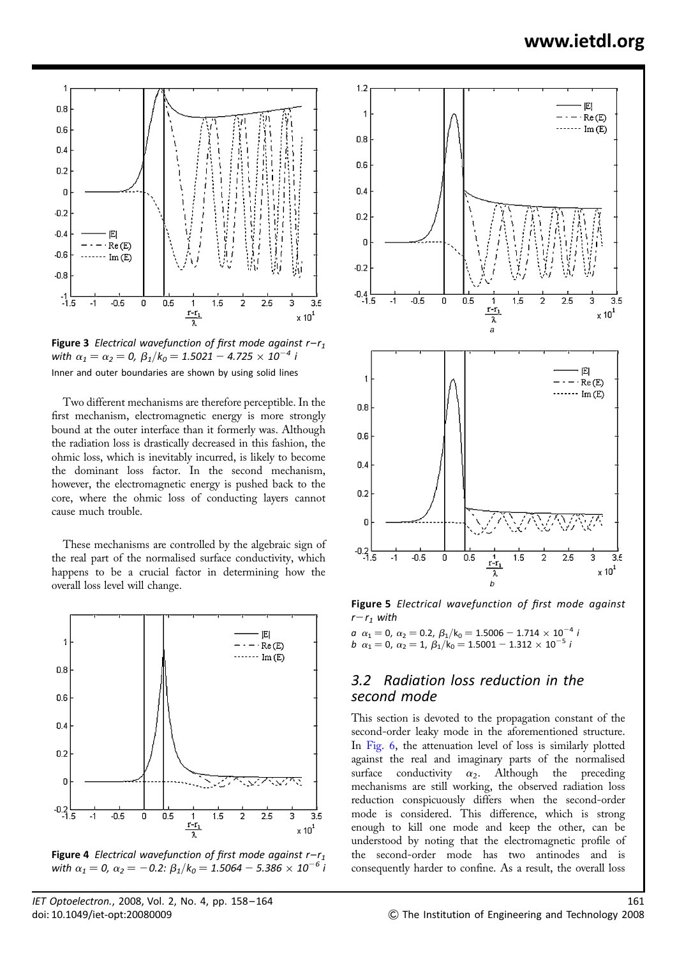

Figure 3 Electrical wavefunction of first mode against  $r-r_1$ with  $\alpha_1 = \alpha_2 = 0$ ,  $\beta_1/k_0 = 1.5021 - 4.725 \times 10^{-4}$  i Inner and outer boundaries are shown by using solid lines

Two different mechanisms are therefore perceptible. In the first mechanism, electromagnetic energy is more strongly bound at the outer interface than it formerly was. Although the radiation loss is drastically decreased in this fashion, the ohmic loss, which is inevitably incurred, is likely to become the dominant loss factor. In the second mechanism, however, the electromagnetic energy is pushed back to the core, where the ohmic loss of conducting layers cannot cause much trouble.

These mechanisms are controlled by the algebraic sign of the real part of the normalised surface conductivity, which happens to be a crucial factor in determining how the overall loss level will change.



**Figure 4** Electrical wavefunction of first mode against  $r-r_1$ with  $\alpha_1 = 0$ ,  $\alpha_2 = -0.2$ :  $\beta_1/k_0 = 1.5064 - 5.386 \times 10^{-6}$  i



Figure 5 Electrical wavefunction of first mode against  $r-r_1$  with

a  $\alpha_1 = 0$ ,  $\alpha_2 = 0.2$ ,  $\beta_1/k_0 = 1.5006 - 1.714 \times 10^{-4}$  i b  $\alpha_1 = 0$ ,  $\alpha_2 = 1$ ,  $\beta_1/\kappa_0 = 1.5001 - 1.312 \times 10^{-5}$  i

#### 3.2 Radiation loss reduction in the second mode

This section is devoted to the propagation constant of the second-order leaky mode in the aforementioned structure. In Fig. 6, the attenuation level of loss is similarly plotted against the real and imaginary parts of the normalised surface conductivity  $\alpha_2$ . Although the preceding mechanisms are still working, the observed radiation loss reduction conspicuously differs when the second-order mode is considered. This difference, which is strong enough to kill one mode and keep the other, can be understood by noting that the electromagnetic profile of the second-order mode has two antinodes and is consequently harder to confine. As a result, the overall loss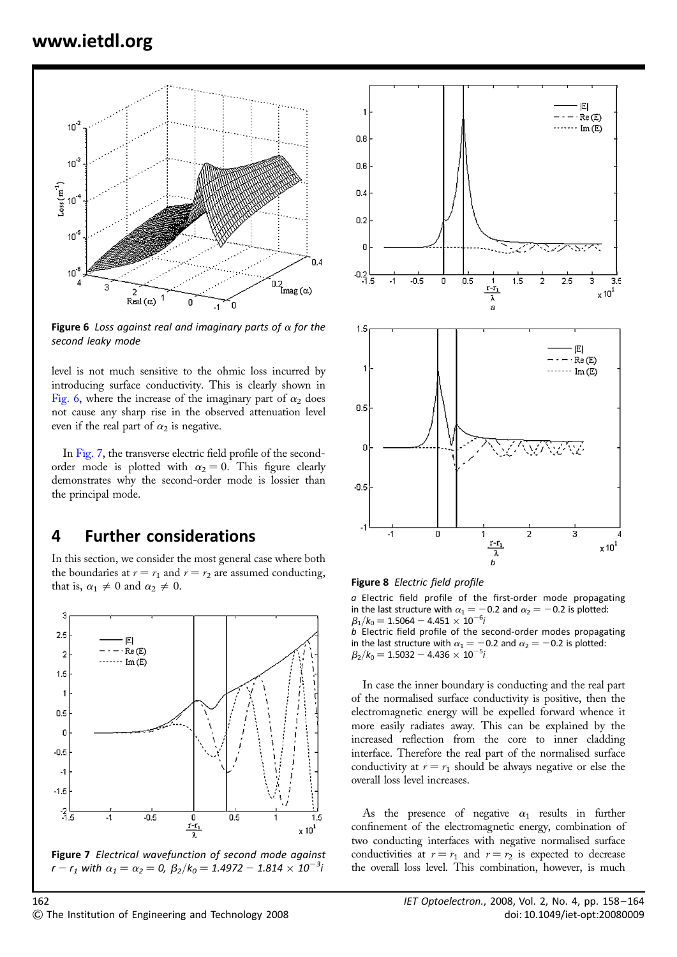

Figure 6 Loss against real and imaginary parts of  $\alpha$  for the second leaky mode

level is not much sensitive to the ohmic loss incurred by introducing surface conductivity. This is clearly shown in Fig. 6, where the increase of the imaginary part of  $\alpha_2$  does not cause any sharp rise in the observed attenuation level even if the real part of  $\alpha_2$  is negative.

In Fig. 7, the transverse electric field profile of the secondorder mode is plotted with  $\alpha_2 = 0$ . This figure clearly demonstrates why the second-order mode is lossier than the principal mode.

## 4 Further considerations

In this section, we consider the most general case where both the boundaries at  $r = r_1$  and  $r = r_2$  are assumed conducting, that is,  $\alpha_1 \neq 0$  and  $\alpha_2 \neq 0$ .



Figure 7 Electrical wavefunction of second mode against  $r - r_1$  with  $\alpha_1 = \alpha_2 = 0$ ,  $\beta_2 / k_0 = 1.4972 - 1.814 \times 10^{-3} i$ 



Figure 8 Electric field profile

a Electric field profile of the first-order mode propagating in the last structure with  $\alpha_1 = -0.2$  and  $\alpha_2 = -0.2$  is plotted:  $\beta_1/k_0 = 1.5064 - 4.451 \times 10^{-6}$ i

b Electric field profile of the second-order modes propagating in the last structure with  $\alpha_1 = -0.2$  and  $\alpha_2 = -0.2$  is plotted:  $\beta_2/k_0 = 1.5032 - 4.436 \times 10^{-5}$ i

In case the inner boundary is conducting and the real part of the normalised surface conductivity is positive, then the electromagnetic energy will be expelled forward whence it more easily radiates away. This can be explained by the increased reflection from the core to inner cladding interface. Therefore the real part of the normalised surface conductivity at  $r = r_1$  should be always negative or else the overall loss level increases.

As the presence of negative  $\alpha_1$  results in further confinement of the electromagnetic energy, combination of two conducting interfaces with negative normalised surface conductivities at  $r = r_1$  and  $r = r_2$  is expected to decrease the overall loss level. This combination, however, is much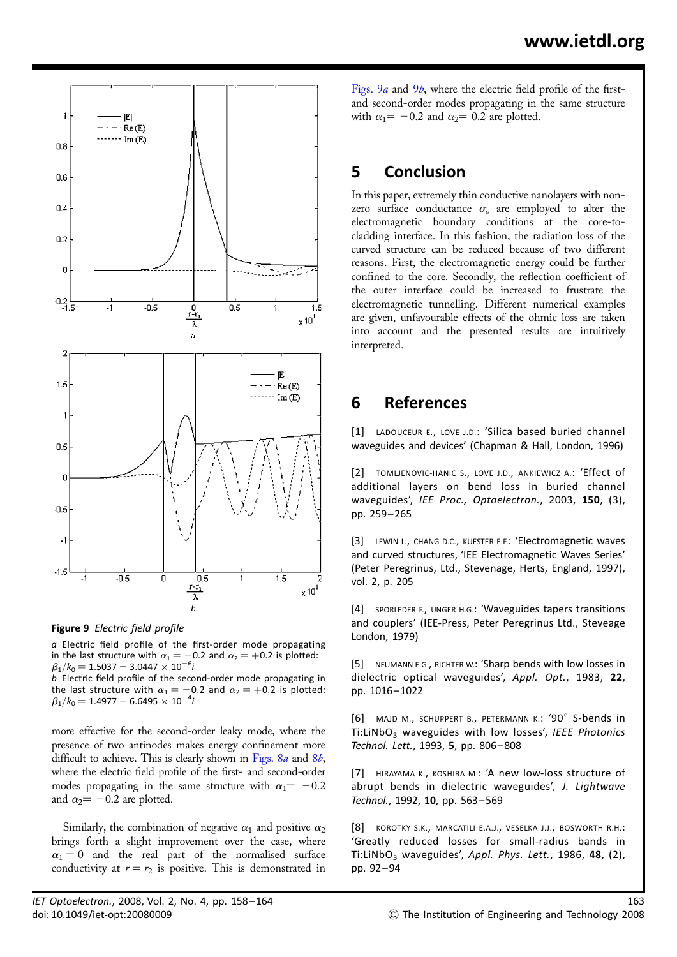

Figure 9 Electric field profile

a Electric field profile of the first-order mode propagating in the last structure with  $\alpha_1 = -0.2$  and  $\alpha_2 = +0.2$  is plotted:  $\beta_1/k_0 = 1.5037 - 3.0447 \times 10^{-6}h$ 

b Electric field profile of the second-order mode propagating in the last structure with  $\alpha_1 = -0.2$  and  $\alpha_2 = +0.2$  is plotted:  $\beta_1/k_0 = 1.4977 - 6.6495 \times 10^{-4}i$ 

more effective for the second-order leaky mode, where the presence of two antinodes makes energy confinement more difficult to achieve. This is clearly shown in Figs.  $8a$  and  $8b$ , where the electric field profile of the first- and second-order modes propagating in the same structure with  $\alpha_1 = -0.2$ and  $\alpha_2 = -0.2$  are plotted.

Similarly, the combination of negative  $\alpha_1$  and positive  $\alpha_2$ brings forth a slight improvement over the case, where  $\alpha_1 = 0$  and the real part of the normalised surface conductivity at  $r = r_2$  is positive. This is demonstrated in

Figs. 9*a* and 9*b*, where the electric field profile of the firstand second-order modes propagating in the same structure with  $\alpha_1 = -0.2$  and  $\alpha_2 = 0.2$  are plotted.

# 5 Conclusion

In this paper, extremely thin conductive nanolayers with nonzero surface conductance  $\sigma_s$  are employed to alter the electromagnetic boundary conditions at the core-tocladding interface. In this fashion, the radiation loss of the curved structure can be reduced because of two different reasons. First, the electromagnetic energy could be further confined to the core. Secondly, the reflection coefficient of the outer interface could be increased to frustrate the electromagnetic tunnelling. Different numerical examples are given, unfavourable effects of the ohmic loss are taken into account and the presented results are intuitively interpreted.

### 6 References

[1] LADOUCEUR E., LOVE J.D.: 'Silica based buried channel waveguides and devices' (Chapman & Hall, London, 1996)

[2] TOMLJENOVIC-HANIC S., LOVE J.D., ANKIEWICZ A.: 'Effect of additional layers on bend loss in buried channel waveguides', IEE Proc., Optoelectron., 2003, 150, (3), pp. 259– 265

[3] LEWIN L., CHANG D.C., KUESTER E.F.: 'Electromagnetic waves and curved structures, 'IEE Electromagnetic Waves Series' (Peter Peregrinus, Ltd., Stevenage, Herts, England, 1997), vol. 2, p. 205

[4] SPORLEDER F., UNGER H.G.: 'Waveguides tapers transitions and couplers' (IEE-Press, Peter Peregrinus Ltd., Steveage London, 1979)

[5] NEUMANN E.G., RICHTER W.: 'Sharp bends with low losses in dielectric optical waveguides', Appl. Opt., 1983, 22, pp. 1016– 1022

[6] MAJD M., SCHUPPERT B., PETERMANN K.: '90° S-bends in  $Ti:LiNbO<sub>3</sub>$  waveguides with low losses', IEEE Photonics Technol. Lett., 1993, 5, pp. 806-808

[7] HIRAYAMA K., KOSHIBA M.: 'A new low-loss structure of abrupt bends in dielectric waveguides', J. Lightwave Technol., 1992, 10, pp. 563-569

[8] KOROTKY S.K., MARCATILI E.A.J., VESELKA J.J., BOSWORTH R.H.: 'Greatly reduced losses for small-radius bands in Ti:LiNbO<sub>3</sub> waveguides', Appl. Phys. Lett., 1986, 48, (2), pp. 92– 94